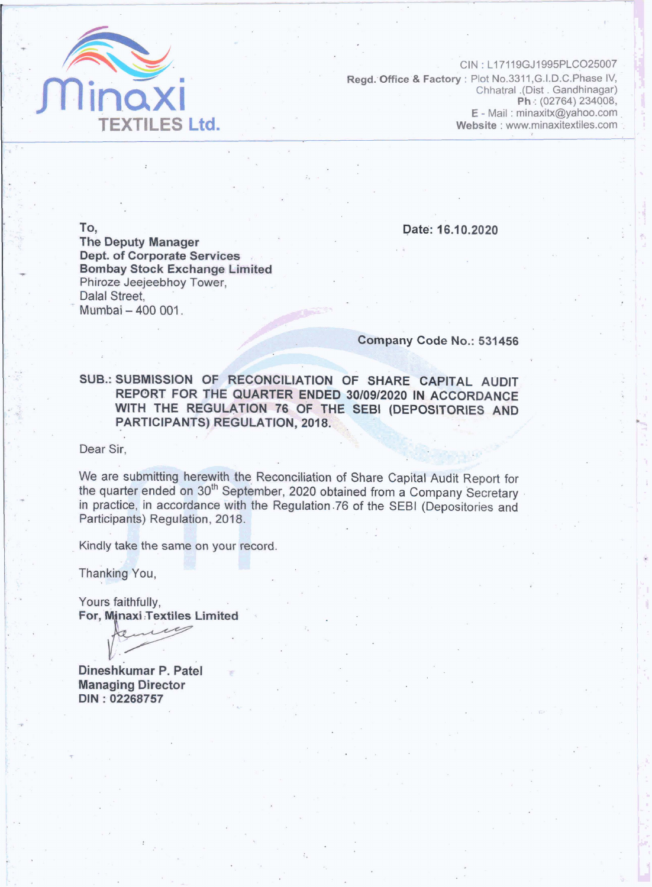

CIN: L17119GJ1995PLCO25007 Regd. Office & Factory : Plot No.3311, G.I.D.C. Phase IV, Chhatral .(Dist . Gandhinagar) Ph: (02764) 234008, E - Mail: minaxitx@yahoo.com Website : www.minaxitextiles.com

To.

Date: 16.10.2020

**The Deputy Manager Dept. of Corporate Services Bombay Stock Exchange Limited** Phiroze Jeejeebhoy Tower. Dalal Street. Mumbai - 400 001.

### Company Code No.: 531456

SUB.: SUBMISSION OF RECONCILIATION OF SHARE CAPITAL AUDIT REPORT FOR THE QUARTER ENDED 30/09/2020 IN ACCORDANCE WITH THE REGULATION 76 OF THE SEBI (DEPOSITORIES AND **PARTICIPANTS) REGULATION, 2018.** 

Dear Sir.

We are submitting herewith the Reconciliation of Share Capital Audit Report for the quarter ended on 30<sup>th</sup> September, 2020 obtained from a Company Secretary in practice, in accordance with the Regulation 76 of the SEBI (Depositories and Participants) Regulation, 2018.

Kindly take the same on your record.

Thanking You,

Yours faithfully, For, Minaxi Textiles Limited

Dineshkumar P. Patel **Managing Director** DIN: 02268757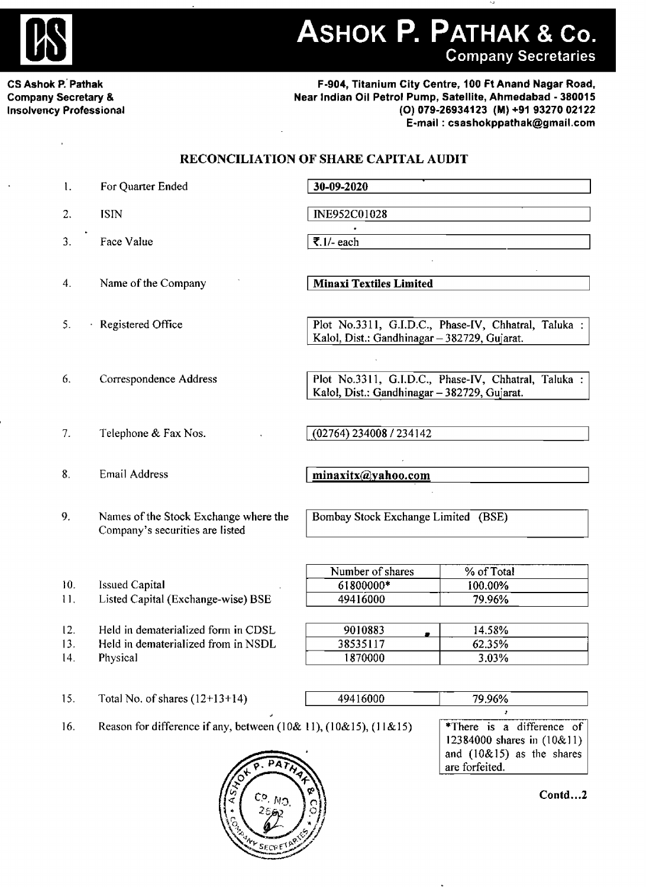

ASHOK P. PATHAK & Co. **Company Secretaries** 

**CS Ashok P.'Pathak Company Secretary L Insolvency Professional** 

### **F-904, Titanium City Centre. 100 Ft Anand Nagar Road. Near Indian Oil Petrol Pump, Satellite, Ahmedabad** - **38001 5 (0) 079-269341 23 (M) +91 93270 021 22 E-mail** : **csashokppathak@gmai1.com**

## **RECONCILIATION OF SHARE CAPITAL AUDIT**

| 1.                | For Quarter Ended                                                                      | 30-09-2020                                                                                           |  |  |  |
|-------------------|----------------------------------------------------------------------------------------|------------------------------------------------------------------------------------------------------|--|--|--|
| 2.                | <b>ISIN</b>                                                                            | INE952C01028                                                                                         |  |  |  |
| 3.                | Face Value                                                                             | ₹.1/- each                                                                                           |  |  |  |
| 4.                | Name of the Company                                                                    | <b>Minaxi Textiles Limited</b>                                                                       |  |  |  |
| 5.                | Registered Office<br>×,                                                                | Plot No.3311, G.I.D.C., Phase-IV, Chhatral, Taluka :<br>Kalol, Dist.: Gandhinagar - 382729, Gujarat. |  |  |  |
| 6.                | Correspondence Address                                                                 | Plot No.3311, G.I.D.C., Phase-IV, Chhatral, Taluka :<br>Kalol, Dist.: Gandhinagar - 382729, Gujarat. |  |  |  |
| 7.                | Telephone & Fax Nos.                                                                   | (02764) 234008 / 234142                                                                              |  |  |  |
| 8.                | Email Address                                                                          | minaxitx@yahoo.com                                                                                   |  |  |  |
| 9.                | Names of the Stock Exchange where the<br>Company's securities are listed               | Bombay Stock Exchange Limited (BSE)                                                                  |  |  |  |
| 10.<br>11.        | <b>Issued Capital</b><br>Listed Capital (Exchange-wise) BSE                            | Number of shares<br>% of Total<br>61800000*<br>100.00%<br>49416000<br>79.96%                         |  |  |  |
| 12.<br>13.<br>14. | Held in dematerialized form in CDSL<br>Held in dematerialized from in NSDL<br>Physical | 14.58%<br>9010883<br>38535117<br>62.35%<br>1870000<br>3.03%                                          |  |  |  |
| 15.               | Total No. of shares $(12+13+14)$                                                       | 49416000<br>79.96%                                                                                   |  |  |  |

<sup>1</sup>**6.** Reason **for difference if any, between (1** 0& **1** 1 ), (1 0& **15),** (I 1 & 1 **5)** 



\*There is a difference of **<sup>1</sup>**23 **84000 shares in** (1 0& 1 1) **and** (1 0& 1 **5) as** the shares are forfeited.

**Contd** ... **2**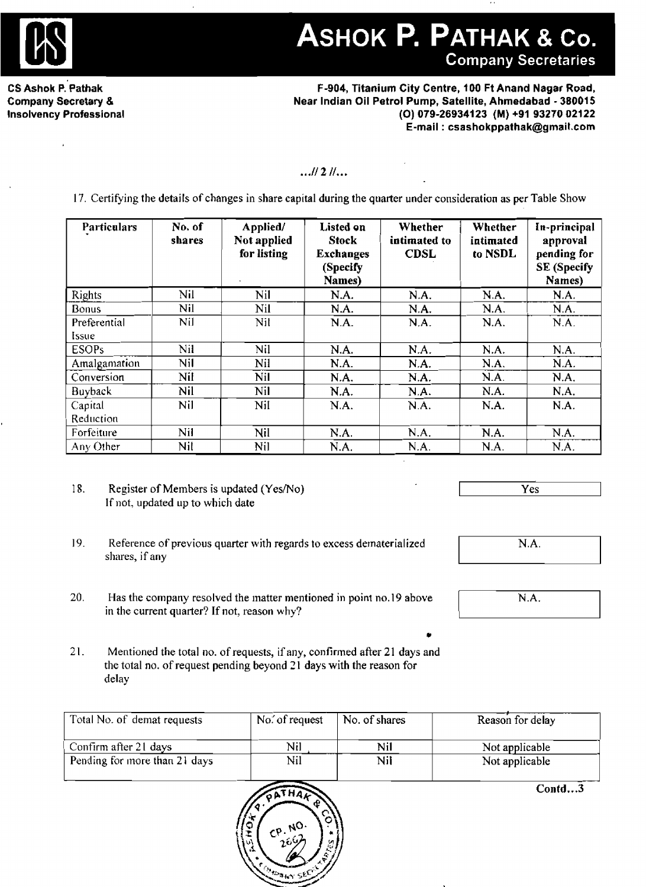

# ASHOK P. PATHAK & Co.

**CS Ashok P. Pathak Company Secretary** & **Insolvency Professional** 

| . Pathak<br>ecretary &<br>Professional                                                                                        | F-904, Titanium City Centre, 100 Ft Anand Nagar Road,<br>Near Indian Oil Petrol Pump, Satellite, Ahmedabad - 380015<br>(O) 079-26934123 (M) +91 93270 02122<br>E-mail: csashokppathak@gmail.com |                                        |                                                                            |                                        |                                 |                                                                         |  |  |
|-------------------------------------------------------------------------------------------------------------------------------|-------------------------------------------------------------------------------------------------------------------------------------------------------------------------------------------------|----------------------------------------|----------------------------------------------------------------------------|----------------------------------------|---------------------------------|-------------------------------------------------------------------------|--|--|
| $$ 11 2 11<br>17. Certifying the details of changes in share capital during the quarter under consideration as per Table Show |                                                                                                                                                                                                 |                                        |                                                                            |                                        |                                 |                                                                         |  |  |
| Particulars                                                                                                                   | No. of<br>shares                                                                                                                                                                                | Applied/<br>Not applied<br>for listing | <b>Listed on</b><br><b>Stock</b><br><b>Exchanges</b><br>(Specify<br>Names) | Whether<br>intimated to<br><b>CDSL</b> | Whether<br>intimated<br>to NSDL | In-principal<br>approval<br>pending for<br><b>SE</b> (Specify<br>Names) |  |  |
| Rights                                                                                                                        | Nil                                                                                                                                                                                             | Nil                                    | N.A.                                                                       | N.A.                                   | N.A.                            | N.A.                                                                    |  |  |
| <b>Bonus</b>                                                                                                                  | Nil                                                                                                                                                                                             | Nil                                    | N.A.                                                                       | N.A.                                   | N.A.                            | N.A.                                                                    |  |  |
| Preferential<br>Issue                                                                                                         | Nil                                                                                                                                                                                             | Nil                                    | N.A.                                                                       | N.A.                                   | N.A.                            | N.A.                                                                    |  |  |
| <b>ESOPs</b>                                                                                                                  | Nil                                                                                                                                                                                             | Nil                                    | N.A.                                                                       | N.A.                                   | N.A.                            | N.A.                                                                    |  |  |
| Amalgamation                                                                                                                  | Nil                                                                                                                                                                                             | Nil                                    | N.A.                                                                       | N.A.                                   | N.A.                            | N.A.                                                                    |  |  |
| Conversion                                                                                                                    | Nil                                                                                                                                                                                             | Nil                                    | N.A.                                                                       | N.A.                                   | N.A.                            | N.A.                                                                    |  |  |
| Buyback                                                                                                                       | Nil                                                                                                                                                                                             | Nil                                    | N.A.                                                                       | N.A.                                   | N.A.                            | N.A.                                                                    |  |  |
| Capital<br>Reduction                                                                                                          | Nil                                                                                                                                                                                             | Nil                                    | N.A.                                                                       | N.A.                                   | N.A.                            | N.A.                                                                    |  |  |
| Forfeiture                                                                                                                    | Nil                                                                                                                                                                                             | Nil                                    | N.A.                                                                       | N.A.                                   | N.A.                            | N.A.                                                                    |  |  |
| Any Other                                                                                                                     | Nil                                                                                                                                                                                             | Nil                                    | N.A.                                                                       | N.A.                                   | N.A.                            | N.A.                                                                    |  |  |

18. Register of Members is updated (Yes/No) If not, **updated up** to **which date** 

- I **Yes** <sup>I</sup>
- **19. Reference** of **previous quarter with regards to excess dematerialized shares, if any**
- 20. Has **the company resolved the matter mentioned in** point **no.19** above in the current quarter? If not, **reason why?**
- 2 1. **Mentioned the total no.** of **requests,** if **any,** confirmed **afier 2 1 days and the total** no. of **request pending beyond 2 1 days with the reason for delay**

| Total No. of demat requests   | No. of request | No. of shares | Reason for delay |
|-------------------------------|----------------|---------------|------------------|
| Confirm after 21 days         | Nil            | Nil           | Not applicable   |
| Pending for more than 21 days | Nil            | Nil           | Not applicable   |